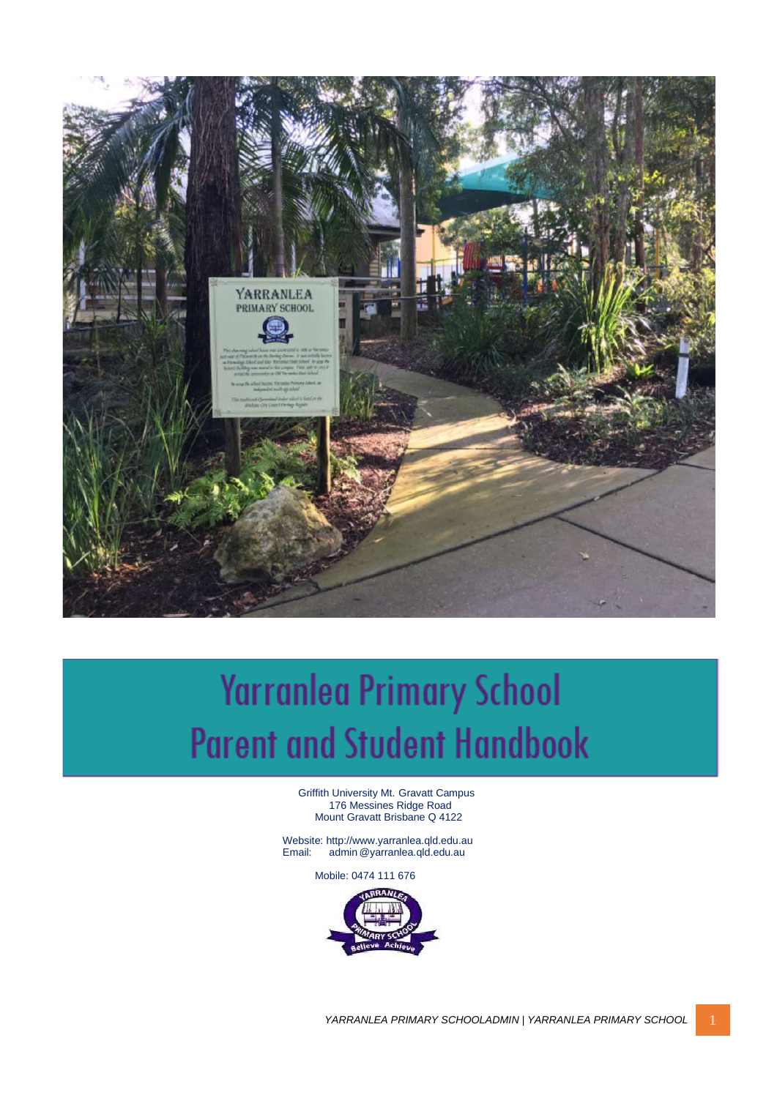

## **Yarranlea Primary School Parent and Student Handbook**

Griffith University Mt. Gravatt Campus 176 Messines Ridge Road Mount Gravatt Brisbane Q 4122

Website: http://www.yarranlea.qld.edu.au<br>Email: admin@yarranlea.qld.edu.au Email: admin@yarranlea.qld.edu.au

Mobile: 0474 111 676

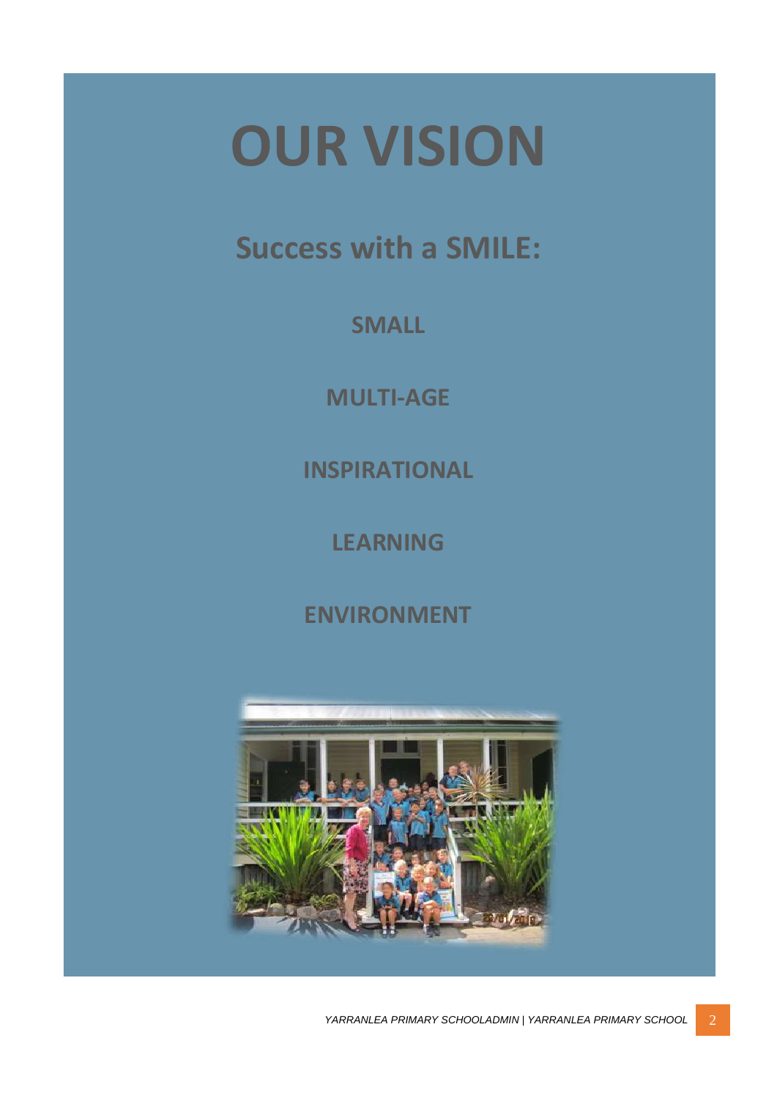# **OUR VISION**

**Success with a SMILE:**

**SMALL**

**MULTI-AGE**

**INSPIRATIONAL**

**LEARNING**

**ENVIRONMENT**

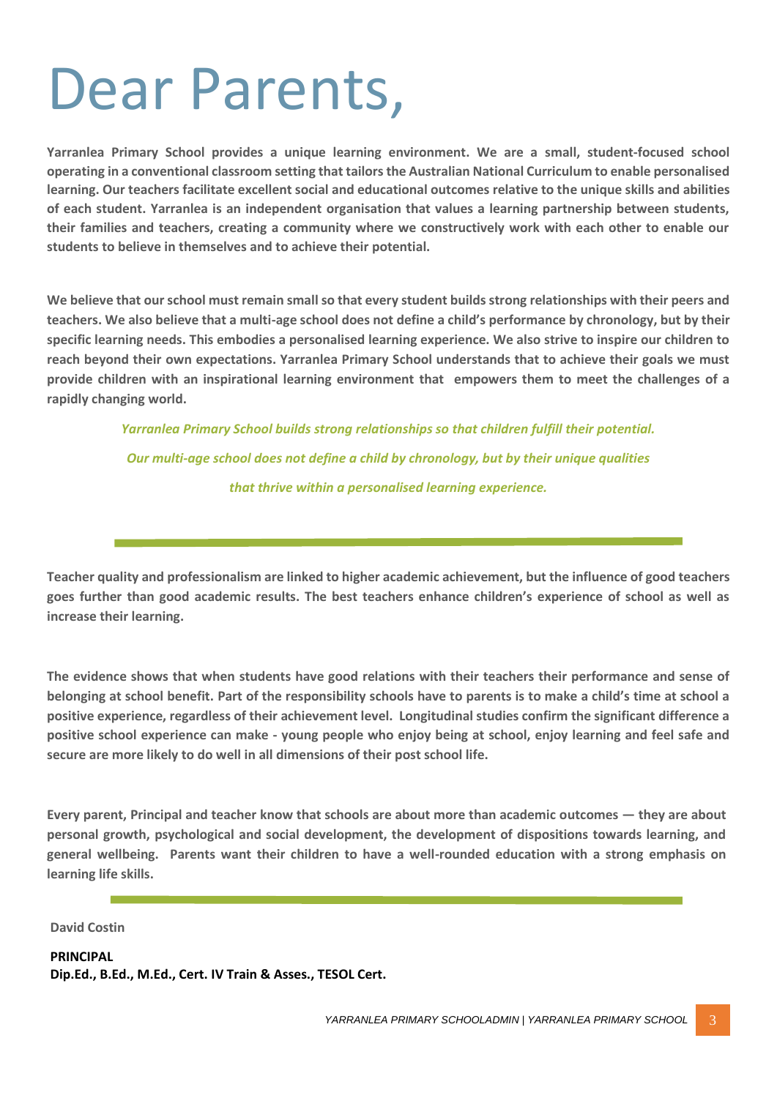# Dear Parents,

**Yarranlea Primary School provides a unique learning environment. We are a small, student-focused school operating in a conventional classroom setting that tailors the Australian National Curriculum to enable personalised learning. Our teachers facilitate excellent social and educational outcomes relative to the unique skills and abilities of each student. Yarranlea is an independent organisation that values a learning partnership between students, their families and teachers, creating a community where we constructively work with each other to enable our students to believe in themselves and to achieve their potential.**

**We believe that our school must remain small so that every student builds strong relationships with their peers and teachers. We also believe that a multi-age school does not define a child's performance by chronology, but by their specific learning needs. This embodies a personalised learning experience. We also strive to inspire our children to reach beyond their own expectations. Yarranlea Primary School understands that to achieve their goals we must provide children with an inspirational learning environment that empowers them to meet the challenges of a rapidly changing world.**

> *Yarranlea Primary School builds strong relationships so that children fulfill their potential. Our multi-age school does not define a child by chronology, but by their unique qualities that thrive within a personalised learning experience.*

**Teacher quality and professionalism are linked to higher academic achievement, but the influence of good teachers goes further than good academic results. The best teachers enhance children's experience of school as well as increase their learning.**

**The evidence shows that when students have good relations with their teachers their performance and sense of belonging at school benefit. Part of the responsibility schools have to parents is to make a child's time at school a positive experience, regardless of their achievement level. Longitudinal studies confirm the significant difference a positive school experience can make - young people who enjoy being at school, enjoy learning and feel safe and secure are more likely to do well in all dimensions of their post school life.**

**Every parent, Principal and teacher know that schools are about more than academic outcomes — they are about personal growth, psychological and social development, the development of dispositions towards learning, and general wellbeing. Parents want their children to have a well-rounded education with a strong emphasis on learning life skills.**

**David Costin**

**PRINCIPAL Dip.Ed., B.Ed., M.Ed., Cert. IV Train & Asses., TESOL Cert.**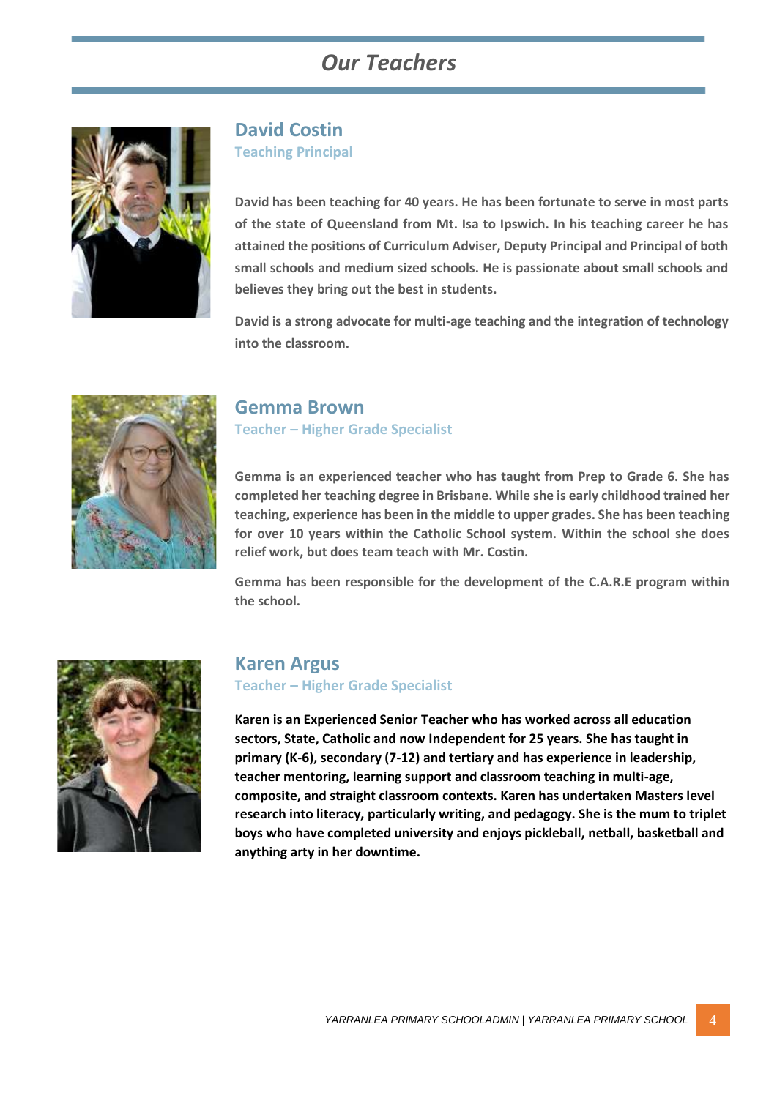#### *Our Teachers*



#### **David Costin Teaching Principal**

**David has been teaching for 40 years. He has been fortunate to serve in most parts of the state of Queensland from Mt. Isa to Ipswich. In his teaching career he has attained the positions of Curriculum Adviser, Deputy Principal and Principal of both small schools and medium sized schools. He is passionate about small schools and believes they bring out the best in students.** 

**David is a strong advocate for multi-age teaching and the integration of technology into the classroom.**



#### **Gemma Brown**

**Teacher – Higher Grade Specialist**

**Gemma is an experienced teacher who has taught from Prep to Grade 6. She has completed her teaching degree in Brisbane. While she is early childhood trained her teaching, experience has been in the middle to upper grades. She has been teaching for over 10 years within the Catholic School system. Within the school she does relief work, but does team teach with Mr. Costin.** 

**Gemma has been responsible for the development of the C.A.R.E program within the school.**



#### **Karen Argus Teacher – Higher Grade Specialist**

**Karen is an Experienced Senior Teacher who has worked across all education sectors, State, Catholic and now Independent for 25 years. She has taught in primary (K-6), secondary (7-12) and tertiary and has experience in leadership, teacher mentoring, learning support and classroom teaching in multi-age, composite, and straight classroom contexts. Karen has undertaken Masters level research into literacy, particularly writing, and pedagogy. She is the mum to triplet boys who have completed university and enjoys pickleball, netball, basketball and anything arty in her downtime.**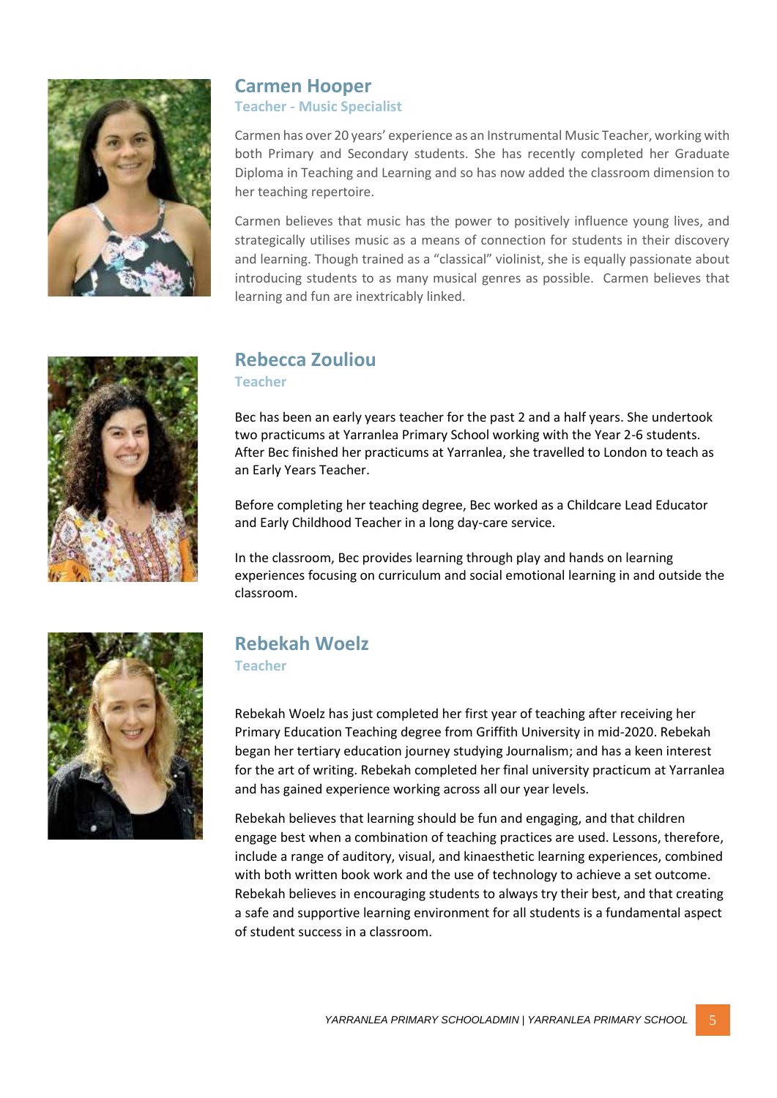

#### **Carmen Hooper Teacher - Music Specialist**

Carmen has over 20 years' experience as an Instrumental Music Teacher, working with both Primary and Secondary students. She has recently completed her Graduate Diploma in Teaching and Learning and so has now added the classroom dimension to her teaching repertoire.

Carmen believes that music has the power to positively influence young lives, and strategically utilises music as a means of connection for students in their discovery and learning. Though trained as a "classical" violinist, she is equally passionate about introducing students to as many musical genres as possible. Carmen believes that learning and fun are inextricably linked.



#### **Rebecca Zouliou**

**Teacher**

Bec has been an early years teacher for the past 2 and a half years. She undertook two practicums at Yarranlea Primary School working with the Year 2-6 students. After Bec finished her practicums at Yarranlea, she travelled to London to teach as an Early Years Teacher.

Before completing her teaching degree, Bec worked as a Childcare Lead Educator and Early Childhood Teacher in a long day-care service.

In the classroom, Bec provides learning through play and hands on learning experiences focusing on curriculum and social emotional learning in and outside the classroom.



### **Rebekah Woelz**

**Teacher**

Rebekah Woelz has just completed her first year of teaching after receiving her Primary Education Teaching degree from Griffith University in mid-2020. Rebekah began her tertiary education journey studying Journalism; and has a keen interest for the art of writing. Rebekah completed her final university practicum at Yarranlea and has gained experience working across all our year levels.

Rebekah believes that learning should be fun and engaging, and that children engage best when a combination of teaching practices are used. Lessons, therefore, include a range of auditory, visual, and kinaesthetic learning experiences, combined with both written book work and the use of technology to achieve a set outcome. Rebekah believes in encouraging students to always try their best, and that creating a safe and supportive learning environment for all students is a fundamental aspect of student success in a classroom.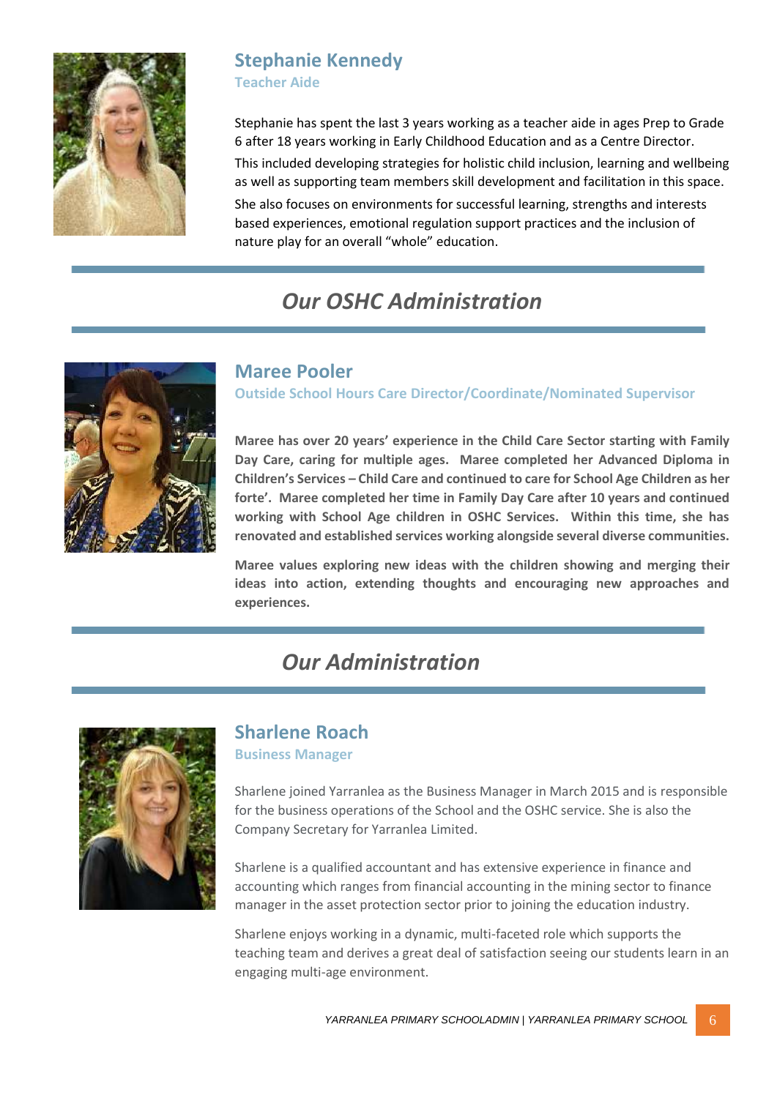

#### **Stephanie Kennedy Teacher Aide**

Stephanie has spent the last 3 years working as a teacher aide in ages Prep to Grade 6 after 18 years working in Early Childhood Education and as a Centre Director. This included developing strategies for holistic child inclusion, learning and wellbeing as well as supporting team members skill development and facilitation in this space. She also focuses on environments for successful learning, strengths and interests based experiences, emotional regulation support practices and the inclusion of nature play for an overall "whole" education.

#### *Our OSHC Administration*



#### **Maree Pooler**

**Outside School Hours Care Director/Coordinate/Nominated Supervisor**

**Maree has over 20 years' experience in the Child Care Sector starting with Family Day Care, caring for multiple ages. Maree completed her Advanced Diploma in Children's Services – Child Care and continued to care for School Age Children as her forte'. Maree completed her time in Family Day Care after 10 years and continued working with School Age children in OSHC Services. Within this time, she has renovated and established services working alongside several diverse communities.** 

**Maree values exploring new ideas with the children showing and merging their ideas into action, extending thoughts and encouraging new approaches and experiences.**

#### *Our Administration*



#### **Sharlene Roach**

**Business Manager**

Sharlene joined Yarranlea as the Business Manager in March 2015 and is responsible for the business operations of the School and the OSHC service. She is also the Company Secretary for Yarranlea Limited.

Sharlene is a qualified accountant and has extensive experience in finance and accounting which ranges from financial accounting in the mining sector to finance manager in the asset protection sector prior to joining the education industry.

Sharlene enjoys working in a dynamic, multi-faceted role which supports the teaching team and derives a great deal of satisfaction seeing our students learn in an engaging multi-age environment.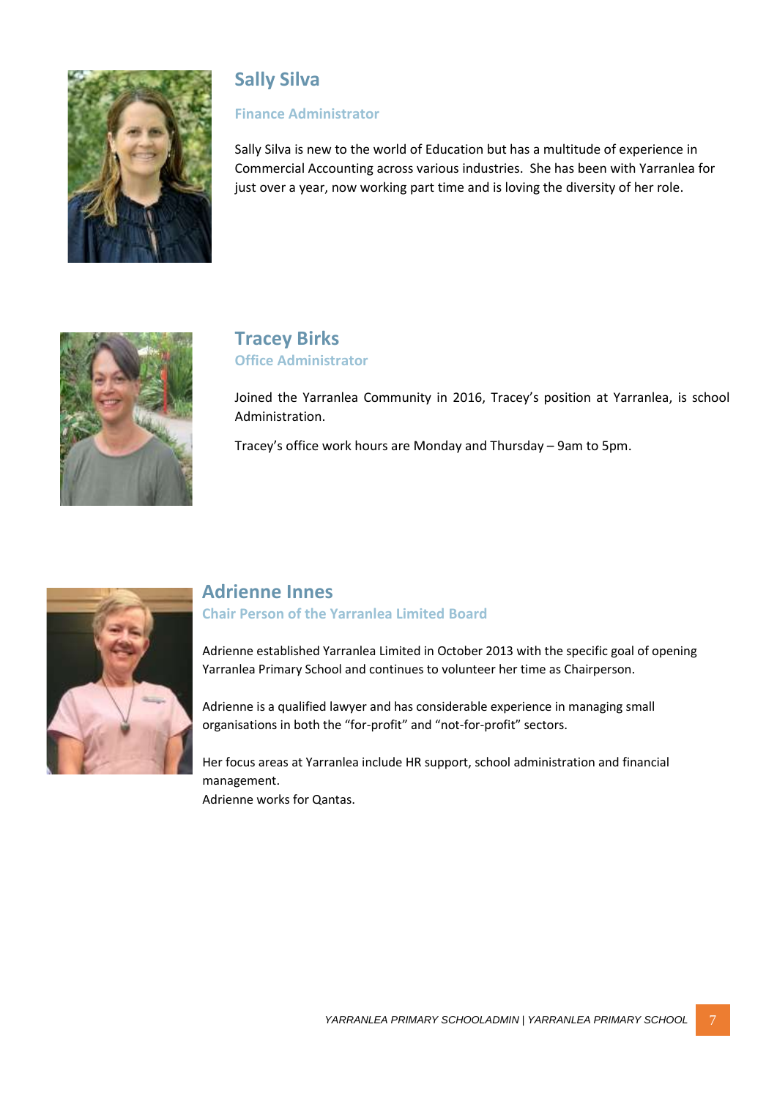

#### **Sally Silva**

#### **Finance Administrator**

Sally Silva is new to the world of Education but has a multitude of experience in Commercial Accounting across various industries. She has been with Yarranlea for just over a year, now working part time and is loving the diversity of her role.



#### **Tracey Birks Office Administrator**

Joined the Yarranlea Community in 2016, Tracey's position at Yarranlea, is school Administration.

Tracey's office work hours are Monday and Thursday – 9am to 5pm.



#### **Adrienne Innes Chair Person of the Yarranlea Limited Board**

Adrienne established Yarranlea Limited in October 2013 with the specific goal of opening Yarranlea Primary School and continues to volunteer her time as Chairperson.

Adrienne is a qualified lawyer and has considerable experience in managing small organisations in both the "for-profit" and "not-for-profit" sectors.

Her focus areas at Yarranlea include HR support, school administration and financial management.

Adrienne works for Qantas.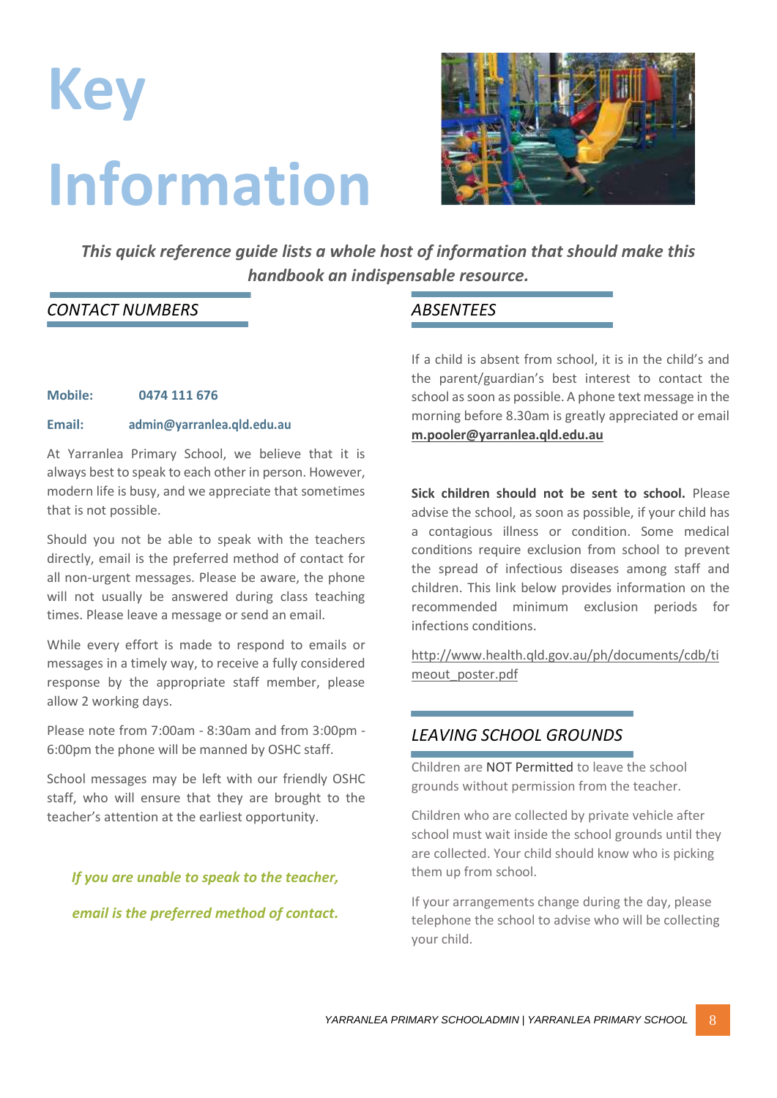



*This quick reference guide lists a whole host of information that should make this handbook an indispensable resource.*

#### *CONTACT NUMBERS*

**Mobile: 0474 111 676**

**Email: admin@yarranlea.qld.edu.au**

At Yarranlea Primary School, we believe that it is always best to speak to each other in person. However, modern life is busy, and we appreciate that sometimes that is not possible.

Should you not be able to speak with the teachers directly, email is the preferred method of contact for all non-urgent messages. Please be aware, the phone will not usually be answered during class teaching times. Please leave a message or send an email.

While every effort is made to respond to emails or messages in a timely way, to receive a fully considered response by the appropriate staff member, please allow 2 working days.

Please note from 7:00am - 8:30am and from 3:00pm - 6:00pm the phone will be manned by OSHC staff.

School messages may be left with our friendly OSHC staff, who will ensure that they are brought to the teacher's attention at the earliest opportunity.

*If you are unable to speak to the teacher,* 

*email is the preferred method of contact.*

#### *ABSENTEES*

If a child is absent from school, it is in the child's and the parent/guardian's best interest to contact the school as soon as possible. A phone text message in the morning before 8.30am is greatly appreciated or email **[m.pooler@yarranlea.qld.edu.au](mailto:m.pooler@yarranlea.qld.edu.au)**

**Sick children should not be sent to school.** Please advise the school, as soon as possible, if your child has a contagious illness or condition. Some medical conditions require exclusion from school to prevent the spread of infectious diseases among staff and children. This link below provides information on the recommended minimum exclusion periods for infections conditions.

[http://www.health.qld.gov.au/ph/documents/cdb/ti](http://www.health.qld.gov.au/ph/documents/cdb/timeout_poster.pdf) [meout\\_poster.pdf](http://www.health.qld.gov.au/ph/documents/cdb/timeout_poster.pdf)

#### *LEAVING SCHOOL GROUNDS*

Children are NOT Permitted to leave the school grounds without permission from the teacher.

Children who are collected by private vehicle after school must wait inside the school grounds until they are collected. Your child should know who is picking them up from school.

If your arrangements change during the day, please telephone the school to advise who will be collecting your child.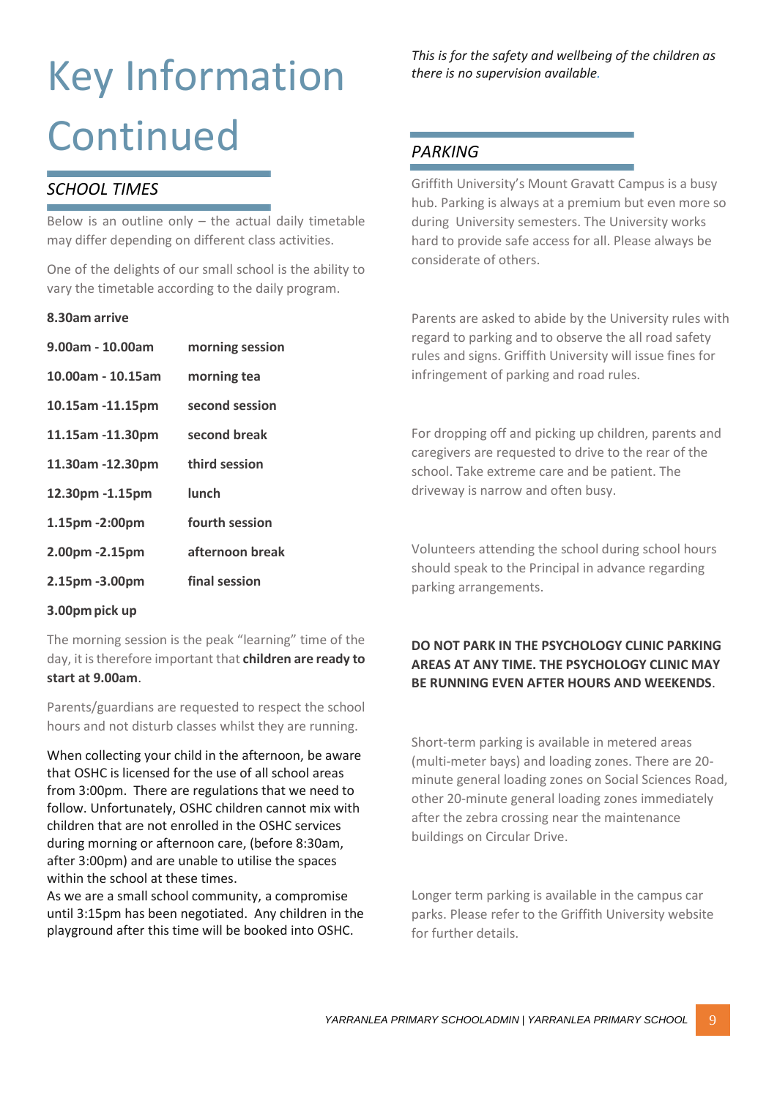# Key Information **Continued**

#### *SCHOOL TIMES*

Below is an outline only  $-$  the actual daily timetable may differ depending on different class activities.

One of the delights of our small school is the ability to vary the timetable according to the daily program.

#### **8.30am arrive**

| 9.00am - 10.00am     | morning session |
|----------------------|-----------------|
| 10.00am - 10.15am    | morning tea     |
| 10.15am -11.15pm     | second session  |
| 11.15am -11.30pm     | second break    |
| 11.30am -12.30pm     | third session   |
| 12.30pm -1.15pm      | lunch           |
| $1.15$ pm $-2:00$ pm | fourth session  |
| 2.00pm -2.15pm       | afternoon break |
| 2.15pm -3.00pm       | final session   |
|                      |                 |

**3.00pmpick up**

The morning session is the peak "learning" time of the day, it is therefore important that **children are ready to start at 9.00am**.

Parents/guardians are requested to respect the school hours and not disturb classes whilst they are running.

When collecting your child in the afternoon, be aware that OSHC is licensed for the use of all school areas from 3:00pm. There are regulations that we need to follow. Unfortunately, OSHC children cannot mix with children that are not enrolled in the OSHC services during morning or afternoon care, (before 8:30am, after 3:00pm) and are unable to utilise the spaces within the school at these times.

As we are a small school community, a compromise until 3:15pm has been negotiated. Any children in the playground after this time will be booked into OSHC.

*This is for the safety and wellbeing of the children as there is no supervision available.*

#### *PARKING*

Griffith University's Mount Gravatt Campus is a busy hub. Parking is always at a premium but even more so during University semesters. The University works hard to provide safe access for all. Please always be considerate of others.

Parents are asked to abide by the University rules with regard to parking and to observe the all road safety rules and signs. Griffith University will issue fines for infringement of parking and road rules.

For dropping off and picking up children, parents and caregivers are requested to drive to the rear of the school. Take extreme care and be patient. The driveway is narrow and often busy.

Volunteers attending the school during school hours should speak to the Principal in advance regarding parking arrangements.

#### **DO NOT PARK IN THE PSYCHOLOGY CLINIC PARKING AREAS AT ANY TIME. THE PSYCHOLOGY CLINIC MAY BE RUNNING EVEN AFTER HOURS AND WEEKENDS**.

Short-term parking is available in metered areas (multi-meter bays) and loading zones. There are 20 minute general loading zones on Social Sciences Road, other 20-minute general loading zones immediately after the zebra crossing near the maintenance buildings on Circular Drive.

Longer term parking is available in the campus car parks. Please refer to the Griffith University website for further details.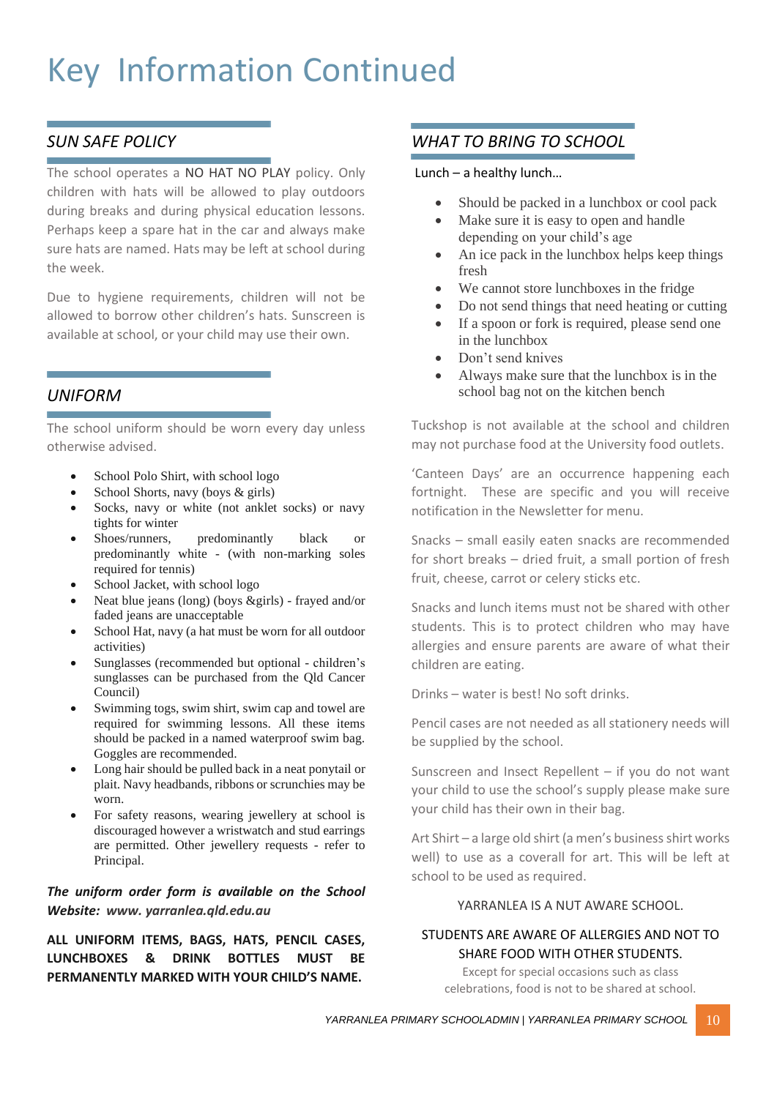### Key Information Continued

#### *SUN SAFE POLICY*

The school operates a NO HAT NO PLAY policy. Only children with hats will be allowed to play outdoors during breaks and during physical education lessons. Perhaps keep a spare hat in the car and always make sure hats are named. Hats may be left at school during the week.

Due to hygiene requirements, children will not be allowed to borrow other children's hats. Sunscreen is available at school, or your child may use their own.

#### *UNIFORM*

The school uniform should be worn every day unless otherwise advised.

- School Polo Shirt, with school logo
- School Shorts, navy (boys & girls)
- Socks, navy or white (not anklet socks) or navy tights for winter
- Shoes/runners, predominantly black or predominantly white - (with non-marking soles required for tennis)
- School Jacket, with school logo
- Neat blue jeans (long) (boys &girls) frayed and/or faded jeans are unacceptable
- School Hat, navy (a hat must be worn for all outdoor activities)
- Sunglasses (recommended but optional children's sunglasses can be purchased from the Qld Cancer Council)
- Swimming togs, swim shirt, swim cap and towel are required for swimming lessons. All these items should be packed in a named waterproof swim bag. Goggles are recommended.
- Long hair should be pulled back in a neat ponytail or plait. Navy headbands, ribbons or scrunchies may be worn.
- For safety reasons, wearing jewellery at school is discouraged however a wristwatch and stud earrings are permitted. Other jewellery requests - refer to Principal.

#### *The uniform order form is available on the School Website: www. yarranlea.qld.edu.au*

**ALL UNIFORM ITEMS, BAGS, HATS, PENCIL CASES, LUNCHBOXES & DRINK BOTTLES MUST BE PERMANENTLY MARKED WITH YOUR CHILD'S NAME.**

#### *WHAT TO BRING TO SCHOOL*

#### Lunch – a healthy lunch…

- Should be packed in a lunchbox or cool pack
- Make sure it is easy to open and handle depending on your child's age
- An ice pack in the lunchbox helps keep things fresh
- We cannot store lunchboxes in the fridge
- Do not send things that need heating or cutting
- If a spoon or fork is required, please send one in the lunchbox
- Don't send knives
- Always make sure that the lunchbox is in the school bag not on the kitchen bench

Tuckshop is not available at the school and children may not purchase food at the University food outlets.

'Canteen Days' are an occurrence happening each fortnight. These are specific and you will receive notification in the Newsletter for menu.

Snacks – small easily eaten snacks are recommended for short breaks – dried fruit, a small portion of fresh fruit, cheese, carrot or celery sticks etc.

Snacks and lunch items must not be shared with other students. This is to protect children who may have allergies and ensure parents are aware of what their children are eating.

Drinks – water is best! No soft drinks.

Pencil cases are not needed as all stationery needs will be supplied by the school.

Sunscreen and Insect Repellent  $-$  if you do not want your child to use the school's supply please make sure your child has their own in their bag.

Art Shirt – a large old shirt (a men's business shirt works well) to use as a coverall for art. This will be left at school to be used as required.

#### YARRANLEA IS A NUT AWARE SCHOOL.

#### STUDENTS ARE AWARE OF ALLERGIES AND NOT TO SHARE FOOD WITH OTHER STUDENTS.

Except for special occasions such as class celebrations, food is not to be shared at school.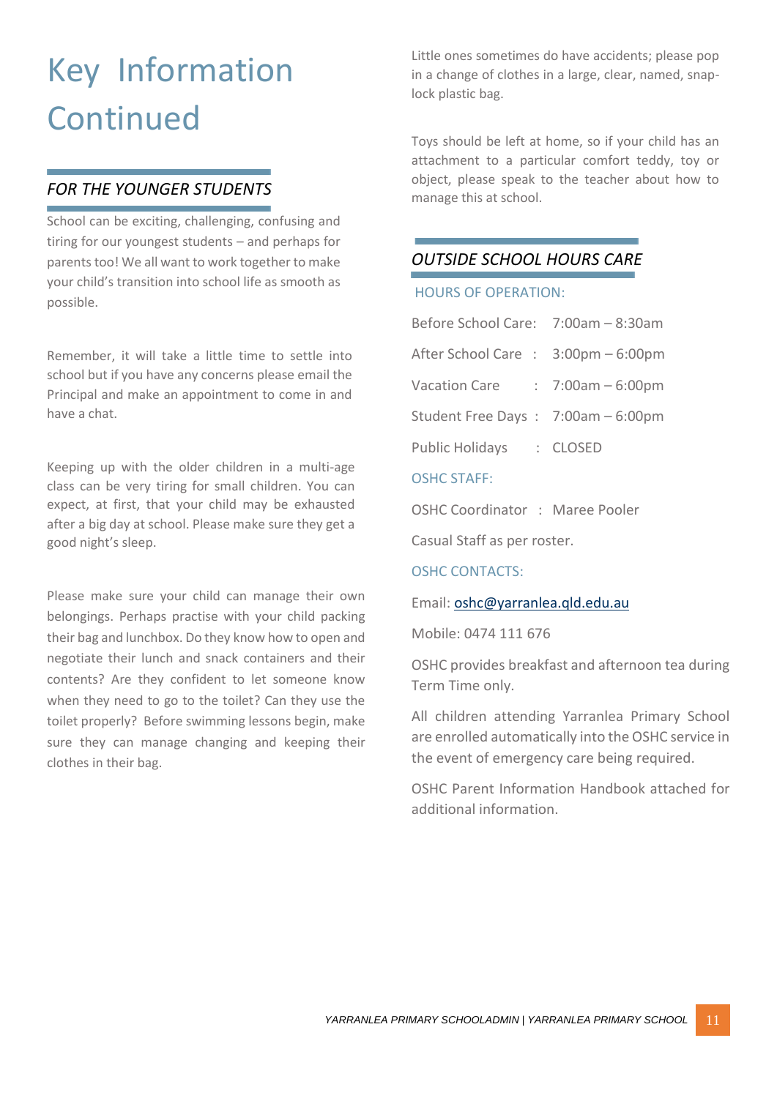### Key Information **Continued**

#### *FOR THE YOUNGER STUDENTS*

School can be exciting, challenging, confusing and tiring for our youngest students – and perhaps for parents too! We all want to work together to make your child's transition into school life as smooth as possible.

Remember, it will take a little time to settle into school but if you have any concerns please email the Principal and make an appointment to come in and have a chat.

Keeping up with the older children in a multi-age class can be very tiring for small children. You can expect, at first, that your child may be exhausted after a big day at school. Please make sure they get a good night's sleep.

Please make sure your child can manage their own belongings. Perhaps practise with your child packing their bag and lunchbox. Do they know how to open and negotiate their lunch and snack containers and their contents? Are they confident to let someone know when they need to go to the toilet? Can they use the toilet properly? Before swimming lessons begin, make sure they can manage changing and keeping their clothes in their bag.

Little ones sometimes do have accidents; please pop in a change of clothes in a large, clear, named, snaplock plastic bag.

Toys should be left at home, so if your child has an attachment to a particular comfort teddy, toy or object, please speak to the teacher about how to manage this at school.

#### *OUTSIDE SCHOOL HOURS CARE*

HOURS OF OPERATION:

| Before School Care: 7:00am - 8:30am    |  |
|----------------------------------------|--|
| After School Care : 3:00pm - 6:00pm    |  |
| Vacation Care : 7:00am - 6:00pm        |  |
| Student Free Days: 7:00am - 6:00pm     |  |
| Public Holidays : CLOSED               |  |
| <b>OSHC STAFF:</b>                     |  |
| <b>OSHC Coordinator : Maree Pooler</b> |  |
|                                        |  |

Casual Staff as per roster.

OSHC CONTACTS:

Email: [oshc@yarranlea.qld.edu.au](mailto:oshc@yarranlea.qld.edu.au)

Mobile: 0474 111 676

OSHC provides breakfast and afternoon tea during Term Time only.

All children attending Yarranlea Primary School are enrolled automatically into the OSHC service in the event of emergency care being required.

OSHC Parent Information Handbook attached for additional information.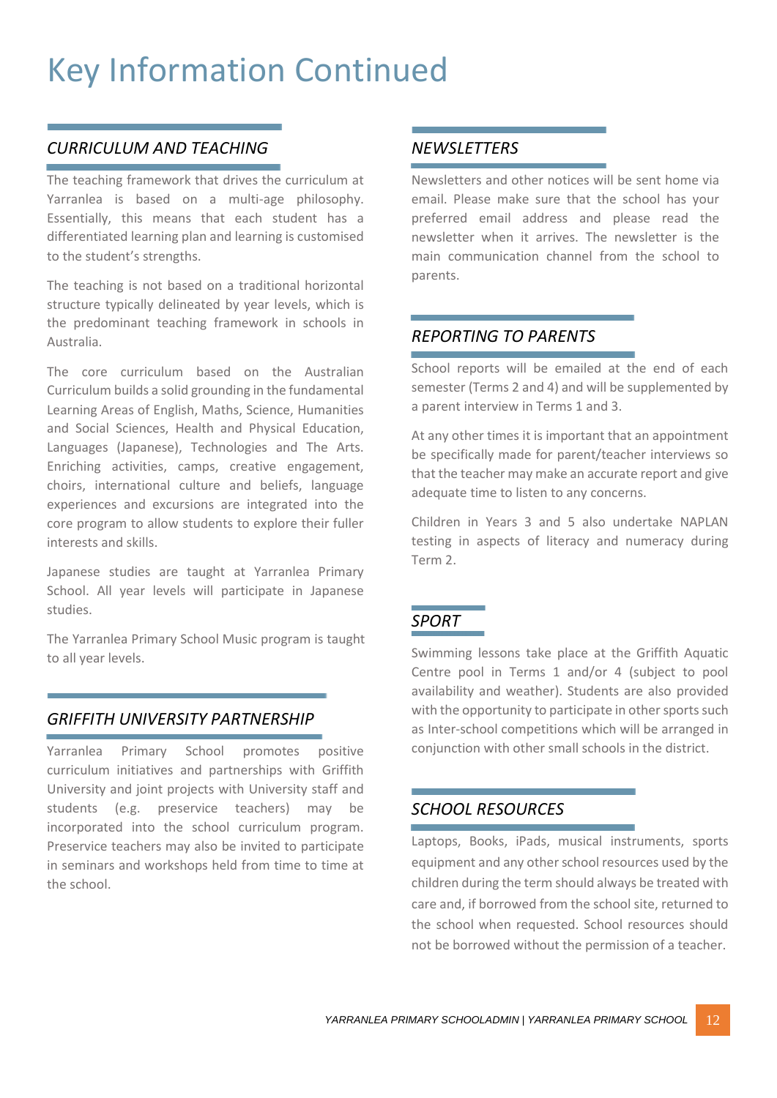### Key Information Continued

#### *CURRICULUM AND TEACHING*

The teaching framework that drives the curriculum at Yarranlea is based on a multi-age philosophy. Essentially, this means that each student has a differentiated learning plan and learning is customised to the student's strengths.

The teaching is not based on a traditional horizontal structure typically delineated by year levels, which is the predominant teaching framework in schools in Australia.

The core curriculum based on the Australian Curriculum builds a solid grounding in the fundamental Learning Areas of English, Maths, Science, Humanities and Social Sciences, Health and Physical Education, Languages (Japanese), Technologies and The Arts. Enriching activities, camps, creative engagement, choirs, international culture and beliefs, language experiences and excursions are integrated into the core program to allow students to explore their fuller interests and skills.

Japanese studies are taught at Yarranlea Primary School. All year levels will participate in Japanese studies.

The Yarranlea Primary School Music program is taught to all year levels.

#### *GRIFFITH UNIVERSITY PARTNERSHIP*

Yarranlea Primary School promotes positive curriculum initiatives and partnerships with Griffith University and joint projects with University staff and students (e.g. preservice teachers) may be incorporated into the school curriculum program. Preservice teachers may also be invited to participate in seminars and workshops held from time to time at the school.

#### *NEWSLETTERS*

Newsletters and other notices will be sent home via email. Please make sure that the school has your preferred email address and please read the newsletter when it arrives. The newsletter is the main communication channel from the school to parents.

#### *REPORTING TO PARENTS*

School reports will be emailed at the end of each semester (Terms 2 and 4) and will be supplemented by a parent interview in Terms 1 and 3.

At any other times it is important that an appointment be specifically made for parent/teacher interviews so that the teacher may make an accurate report and give adequate time to listen to any concerns.

Children in Years 3 and 5 also undertake NAPLAN testing in aspects of literacy and numeracy during Term 2.

#### *SPORT*

Swimming lessons take place at the Griffith Aquatic Centre pool in Terms 1 and/or 4 (subject to pool availability and weather). Students are also provided with the opportunity to participate in other sports such as Inter-school competitions which will be arranged in conjunction with other small schools in the district.

#### *SCHOOL RESOURCES*

Laptops, Books, iPads, musical instruments, sports equipment and any other school resources used by the children during the term should always be treated with care and, if borrowed from the school site, returned to the school when requested. School resources should not be borrowed without the permission of a teacher.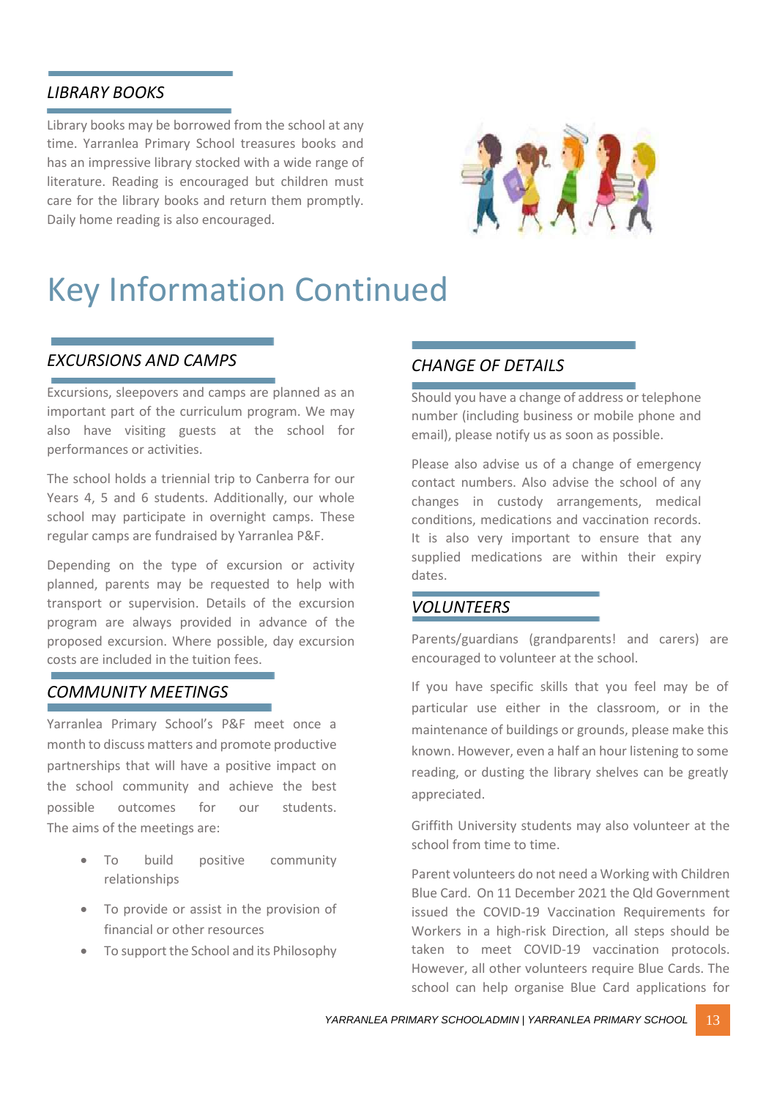#### *LIBRARY BOOKS*

Library books may be borrowed from the school at any time. Yarranlea Primary School treasures books and has an impressive library stocked with a wide range of literature. Reading is encouraged but children must care for the library books and return them promptly. Daily home reading is also encouraged.



### Key Information Continued

#### *EXCURSIONS AND CAMPS*

Excursions, sleepovers and camps are planned as an important part of the curriculum program. We may also have visiting guests at the school for performances or activities.

The school holds a triennial trip to Canberra for our Years 4, 5 and 6 students. Additionally, our whole school may participate in overnight camps. These regular camps are fundraised by Yarranlea P&F.

Depending on the type of excursion or activity planned, parents may be requested to help with transport or supervision. Details of the excursion program are always provided in advance of the proposed excursion. Where possible, day excursion costs are included in the tuition fees.

#### *COMMUNITY MEETINGS*

Yarranlea Primary School's P&F meet once a month to discuss matters and promote productive partnerships that will have a positive impact on the school community and achieve the best possible outcomes for our students. The aims of the meetings are:

- To build positive community relationships
- To provide or assist in the provision of financial or other resources
- To support the School and its Philosophy

#### *CHANGE OF DETAILS*

Should you have a change of address or telephone number (including business or mobile phone and email), please notify us as soon as possible.

Please also advise us of a change of emergency contact numbers. Also advise the school of any changes in custody arrangements, medical conditions, medications and vaccination records. It is also very important to ensure that any supplied medications are within their expiry dates.

#### *VOLUNTEERS*

Parents/guardians (grandparents! and carers) are encouraged to volunteer at the school.

If you have specific skills that you feel may be of particular use either in the classroom, or in the maintenance of buildings or grounds, please make this known. However, even a half an hour listening to some reading, or dusting the library shelves can be greatly appreciated.

Griffith University students may also volunteer at the school from time to time.

Parent volunteers do not need a Working with Children Blue Card. On 11 December 2021 the Qld Government issued the COVID-19 Vaccination Requirements for Workers in a high-risk Direction, all steps should be taken to meet COVID-19 vaccination protocols. However, all other volunteers require Blue Cards. The school can help organise Blue Card applications for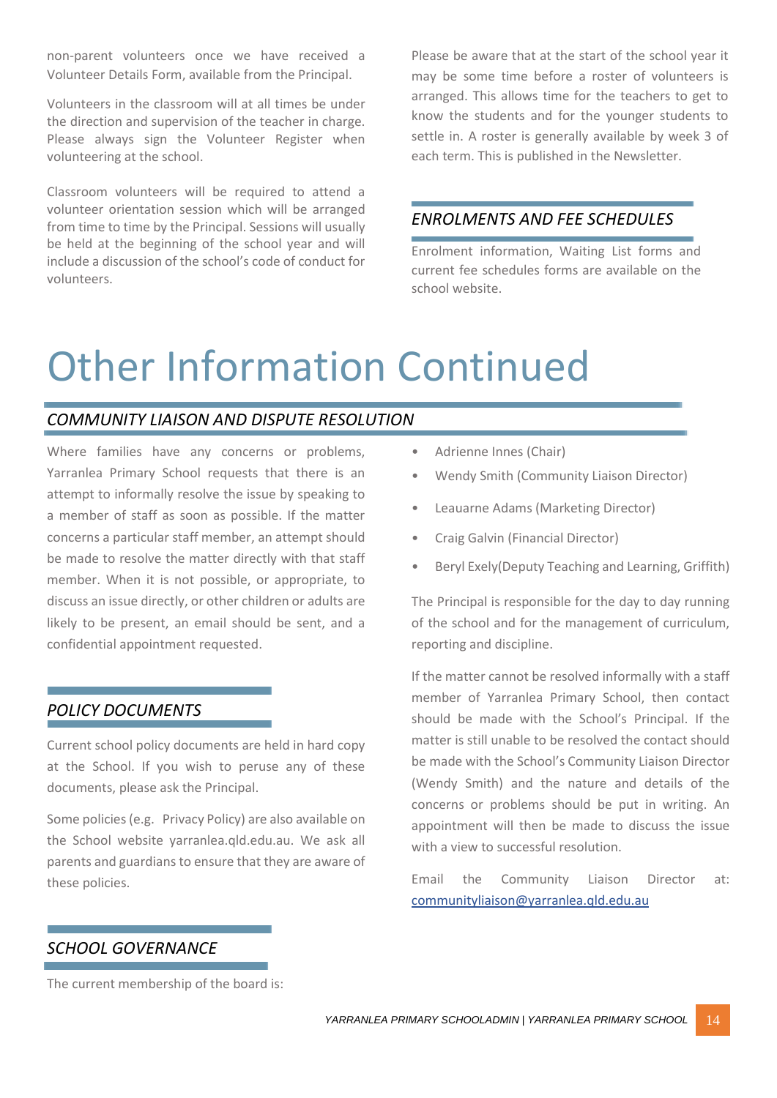non-parent volunteers once we have received a Volunteer Details Form, available from the Principal.

Volunteers in the classroom will at all times be under the direction and supervision of the teacher in charge. Please always sign the Volunteer Register when volunteering at the school.

Classroom volunteers will be required to attend a volunteer orientation session which will be arranged from time to time by the Principal. Sessions will usually be held at the beginning of the school year and will include a discussion of the school's code of conduct for volunteers.

Please be aware that at the start of the school year it may be some time before a roster of volunteers is arranged. This allows time for the teachers to get to know the students and for the younger students to settle in. A roster is generally available by week 3 of each term. This is published in the Newsletter.

#### *ENROLMENTS AND FEE SCHEDULES*

Enrolment information, Waiting List forms and current fee schedules forms are available on the school website.

## Other Information Continued

#### *COMMUNITY LIAISON AND DISPUTE RESOLUTION*

Where families have any concerns or problems, Yarranlea Primary School requests that there is an attempt to informally resolve the issue by speaking to a member of staff as soon as possible. If the matter concerns a particular staff member, an attempt should be made to resolve the matter directly with that staff member. When it is not possible, or appropriate, to discuss an issue directly, or other children or adults are likely to be present, an email should be sent, and a confidential appointment requested.

#### *POLICY DOCUMENTS*

Current school policy documents are held in hard copy at the School. If you wish to peruse any of these documents, please ask the Principal.

Some policies (e.g. Privacy Policy) are also available on the School website yarranlea.qld.edu.au. We ask all parents and guardians to ensure that they are aware of these policies.

- Adrienne Innes (Chair)
- Wendy Smith (Community Liaison Director)
- Leauarne Adams (Marketing Director)
- Craig Galvin (Financial Director)
- Beryl Exely(Deputy Teaching and Learning, Griffith)

The Principal is responsible for the day to day running of the school and for the management of curriculum, reporting and discipline.

If the matter cannot be resolved informally with a staff member of Yarranlea Primary School, then contact should be made with the School's Principal. If the matter is still unable to be resolved the contact should be made with the School's Community Liaison Director (Wendy Smith) and the nature and details of the concerns or problems should be put in writing. An appointment will then be made to discuss the issue with a view to successful resolution.

Email the Community Liaison Director at: [communityliaison@yarranlea.qld.edu.au](mailto:communityliaison@yarranlea.qld.edu.au)

#### *SCHOOL GOVERNANCE*

The current membership of the board is: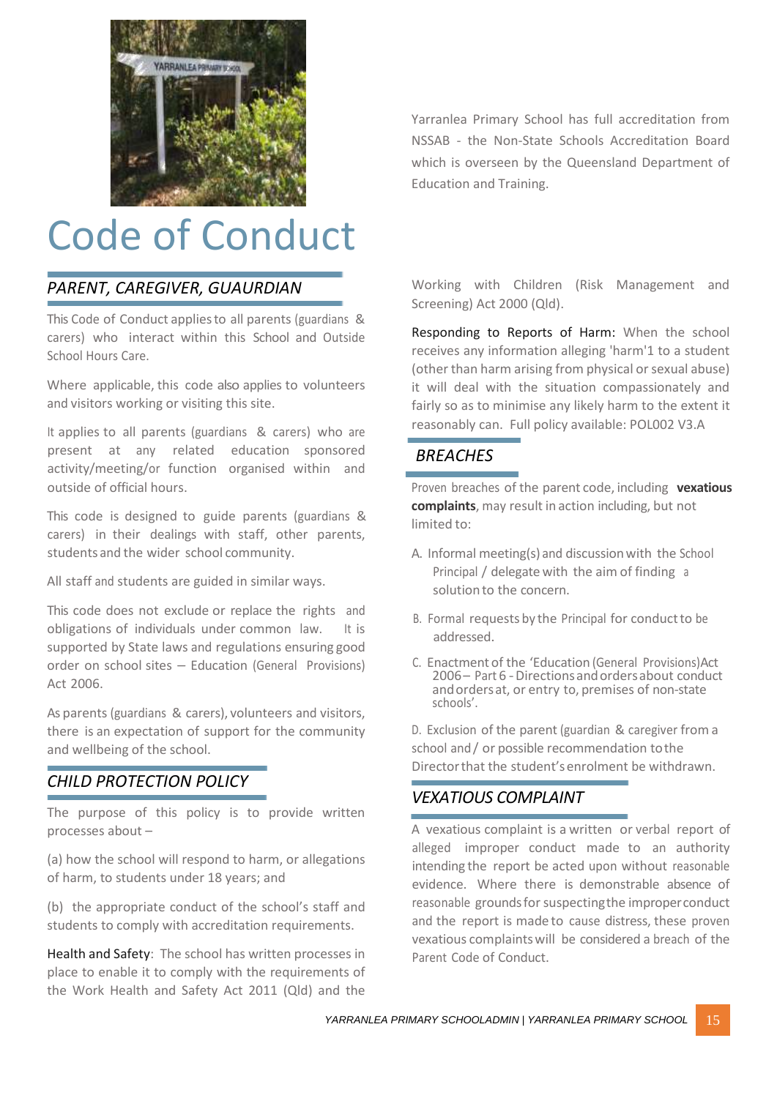

### Code of Conduct

#### *PARENT, CAREGIVER, GUAURDIAN*

This Code of Conduct appliesto all parents (guardians & carers) who interact within this School and Outside School Hours Care.

Where applicable, this code also applies to volunteers and visitors working or visiting this site.

It applies to all parents (guardians & carers) who are present at any related education sponsored activity/meeting/or function organised within and outside of official hours.

This code is designed to guide parents (guardians & carers) in their dealings with staff, other parents, students and the wider school community.

All staff and students are guided in similar ways.

This code does not exclude or replace the rights and obligations of individuals under common law. It is supported by State laws and regulations ensuring good order on school sites – Education (General Provisions) Act 2006.

As parents (guardians & carers), volunteers and visitors, there is an expectation of support for the community and wellbeing of the school.

#### *CHILD PROTECTION POLICY*

The purpose of this policy is to provide written processes about –

(a) how the school will respond to harm, or allegations of harm, to students under 18 years; and

(b) the appropriate conduct of the school's staff and students to comply with accreditation requirements.

Health and Safety: The school has written processes in place to enable it to comply with the requirements of the Work Health and Safety Act 2011 (Qld) and the

Yarranlea Primary School has full accreditation from NSSAB - the Non-State Schools Accreditation Board which is overseen by the Queensland Department of Education and Training.

Working with Children (Risk Management and Screening) Act 2000 (Qld).

Responding to Reports of Harm: When the school receives any information alleging 'harm'1 to a student (other than harm arising from physical or sexual abuse) it will deal with the situation compassionately and fairly so as to minimise any likely harm to the extent it reasonably can. Full policy available: POL002 V3.A

#### *BREACHES*

Proven breaches of the parent code, including **vexatious complaints**, may result in action including, but not limited to:

- A. Informal meeting(s) and discussion with the School Principal / delegatewith the aim of finding a solution to the concern.
- B. Formal requests by the Principal for conduct to be addressed.
- C. Enactment of the 'Education (General Provisions)Act 2006– Part 6 -Directionsandordersabout conduct andordersat, or entry to, premises of non-state schools'.

D. Exclusion of the parent (guardian & caregiver from a school and/ or possible recommendation tothe Directorthat the student'senrolment be withdrawn.

#### *VEXATIOUS COMPLAINT*

A vexatious complaint is a written or verbal report of alleged improper conduct made to an authority intending the report be acted upon without reasonable evidence. Where there is demonstrable absence of reasonable grounds for suspecting the improper conduct and the report is made to cause distress, these proven vexatious complaintswill be considered a breach of the Parent Code of Conduct.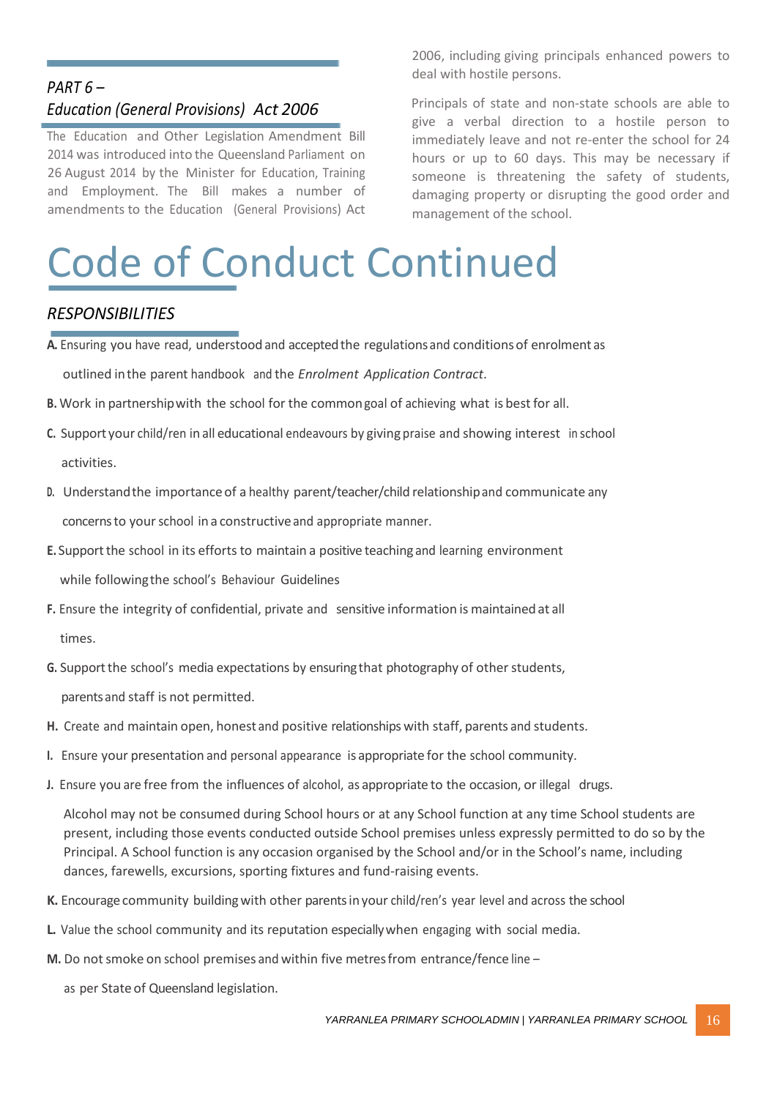#### *PART 6 – Education (General Provisions) Act 2006*

The Education and Other Legislation Amendment Bill 2014 was introduced into the Queensland Parliament on 26 August 2014 by the Minister for Education, Training and Employment. The Bill makes a number of amendments to the Education (General Provisions) Act

2006, including giving principals enhanced powers to deal with hostile persons.

Principals of state and non-state schools are able to give a verbal direction to a hostile person to immediately leave and not re-enter the school for 24 hours or up to 60 days. This may be necessary if someone is threatening the safety of students, damaging property or disrupting the good order and management of the school.

# Code of Conduct Continued

#### *RESPONSIBILITIES*

**A.** Ensuring you have read, understood and acceptedthe regulationsand conditionsof enrolment as outlined inthe parent handbook and the *Enrolment Application Contract*.

- **B.** Work in partnership with the school for the commongoal of achieving what is best for all.
- **C.** Support your child/ren in all educational endeavours by giving praise and showing interest in school activities.
- **D.** Understand the importance of a healthy parent/teacher/child relationship and communicate any concernsto yourschool in a constructiveand appropriate manner.
- E. Support the school in its efforts to maintain a positive teaching and learning environment while followingthe school's Behaviour Guidelines
- **F.** Ensure the integrity of confidential, private and sensitive information is maintainedat all times.
- G. Support the school's media expectations by ensuring that photography of other students, parentsand staff is not permitted.
- **H.** Create and maintain open, honest and positive relationships with staff, parents and students.
- **I.** Ensure your presentation and personal appearance is appropriate for the school community.
- **J.** Ensure you are free from the influences of alcohol, as appropriate to the occasion, or illegal drugs.

Alcohol may not be consumed during School hours or at any School function at any time School students are present, including those events conducted outside School premises unless expressly permitted to do so by the Principal. A School function is any occasion organised by the School and/or in the School's name, including dances, farewells, excursions, sporting fixtures and fund-raising events.

- K. Encourage community building with other parents in your child/ren's year level and across the school
- **L.** Value the school community and its reputation especiallywhen engaging with social media.
- **M.** Do not smoke on school premises and within five metres from entrance/fence line –

as per State of Queensland legislation.